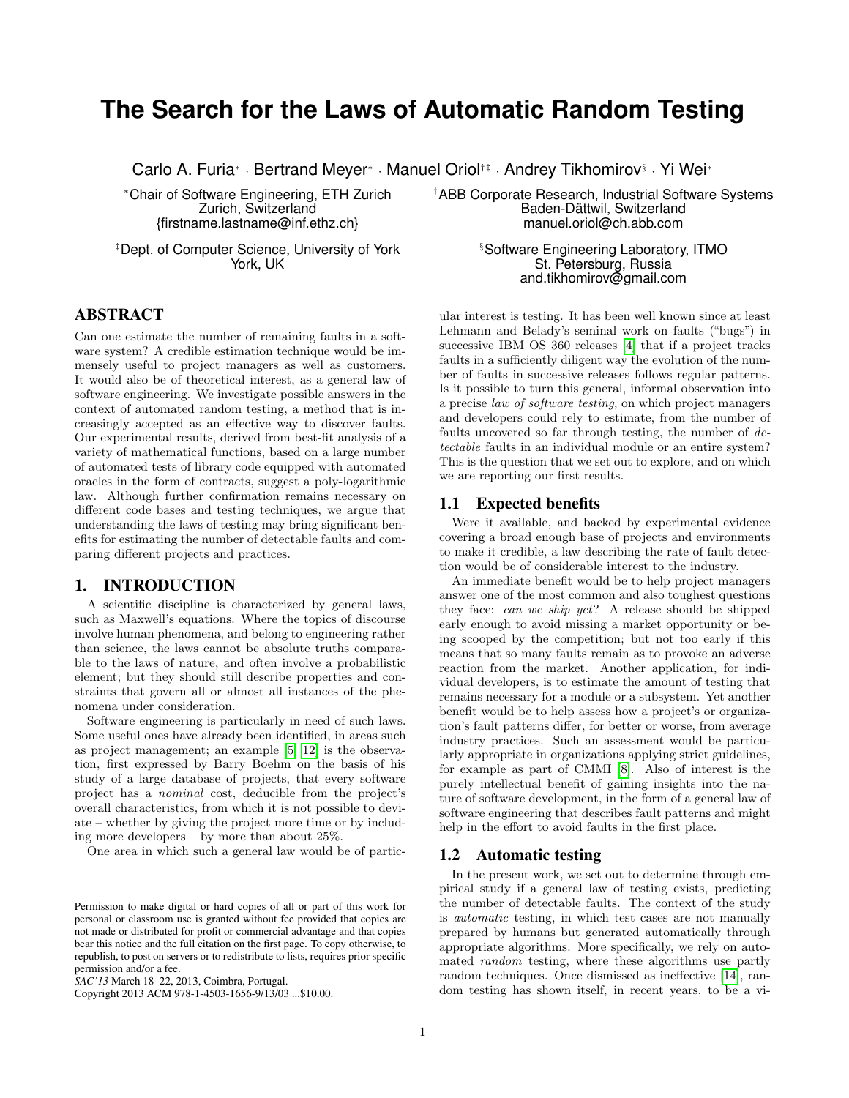# **The Search for the Laws of Automatic Random Testing**

Carlo A. Furia<sup>∗</sup> · Bertrand Meyer<sup>∗</sup> · Manuel Oriol<sup>†‡</sup> · Andrey Tikhomirov<sup>§</sup> · Yi Wei<sup>∗</sup>

Zurich, Switzerland Baden-Dättwil, Switzerland

‡Dept. of Computer Science, University of York in the Software Engineering Laboratory, ITMO<br>St. Petersburg. Russia

# **ABSTRACT**

Can one estimate the number of remaining faults in a software system? A credible estimation technique would be immensely useful to project managers as well as customers. It would also be of theoretical interest, as a general law of software engineering. We investigate possible answers in the context of automated random testing, a method that is increasingly accepted as an effective way to discover faults. Our experimental results, derived from best-fit analysis of a variety of mathematical functions, based on a large number of automated tests of library code equipped with automated oracles in the form of contracts, suggest a poly-logarithmic law. Although further confirmation remains necessary on different code bases and testing techniques, we argue that understanding the laws of testing may bring significant benefits for estimating the number of detectable faults and comparing different projects and practices.

## 1. INTRODUCTION

A scientific discipline is characterized by general laws, such as Maxwell's equations. Where the topics of discourse involve human phenomena, and belong to engineering rather than science, the laws cannot be absolute truths comparable to the laws of nature, and often involve a probabilistic element; but they should still describe properties and constraints that govern all or almost all instances of the phenomena under consideration.

Software engineering is particularly in need of such laws. Some useful ones have already been identified, in areas such as project management; an example [\[5,](#page-5-0) [12\]](#page-5-1) is the observation, first expressed by Barry Boehm on the basis of his study of a large database of projects, that every software project has a nominal cost, deducible from the project's overall characteristics, from which it is not possible to deviate – whether by giving the project more time or by including more developers – by more than about 25%.

One area in which such a general law would be of partic-

Copyright 2013 ACM 978-1-4503-1656-9/13/03 ...\$10.00.

<sup>∗</sup>Chair of Software Engineering, ETH Zurich †ABB Corporate Research, Industrial Software Systems

{firstname.lastname@inf.ethz.ch} manuel.oriol@ch.abb.com

St. Petersburg, Russia and.tikhomirov@gmail.com

ular interest is testing. It has been well known since at least Lehmann and Belady's seminal work on faults ("bugs") in successive IBM OS 360 releases [\[4\]](#page-5-2) that if a project tracks faults in a sufficiently diligent way the evolution of the number of faults in successive releases follows regular patterns. Is it possible to turn this general, informal observation into a precise law of software testing, on which project managers and developers could rely to estimate, from the number of faults uncovered so far through testing, the number of detectable faults in an individual module or an entire system? This is the question that we set out to explore, and on which we are reporting our first results.

## 1.1 Expected benefits

Were it available, and backed by experimental evidence covering a broad enough base of projects and environments to make it credible, a law describing the rate of fault detection would be of considerable interest to the industry.

An immediate benefit would be to help project managers answer one of the most common and also toughest questions they face: can we ship yet? A release should be shipped early enough to avoid missing a market opportunity or being scooped by the competition; but not too early if this means that so many faults remain as to provoke an adverse reaction from the market. Another application, for individual developers, is to estimate the amount of testing that remains necessary for a module or a subsystem. Yet another benefit would be to help assess how a project's or organization's fault patterns differ, for better or worse, from average industry practices. Such an assessment would be particularly appropriate in organizations applying strict guidelines, for example as part of CMMI [\[8\]](#page-5-3). Also of interest is the purely intellectual benefit of gaining insights into the nature of software development, in the form of a general law of software engineering that describes fault patterns and might help in the effort to avoid faults in the first place.

## 1.2 Automatic testing

In the present work, we set out to determine through empirical study if a general law of testing exists, predicting the number of detectable faults. The context of the study is automatic testing, in which test cases are not manually prepared by humans but generated automatically through appropriate algorithms. More specifically, we rely on automated random testing, where these algorithms use partly random techniques. Once dismissed as ineffective [\[14\]](#page-5-4), random testing has shown itself, in recent years, to be a vi-

Permission to make digital or hard copies of all or part of this work for personal or classroom use is granted without fee provided that copies are not made or distributed for profit or commercial advantage and that copies bear this notice and the full citation on the first page. To copy otherwise, to republish, to post on servers or to redistribute to lists, requires prior specific permission and/or a fee.

*SAC'13* March 18–22, 2013, Coimbra, Portugal.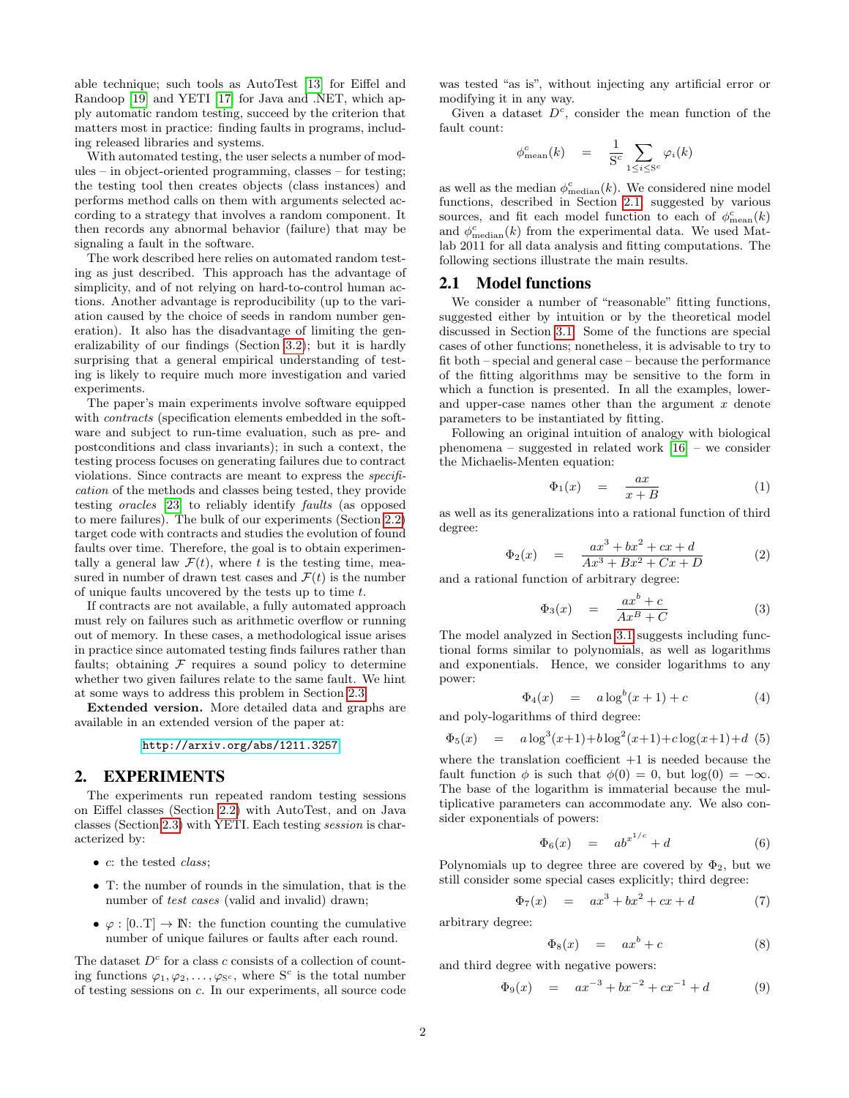able technique; such tools as AutoTest [\[13\]](#page-5-5) for Eiffel and Randoop [\[19\]](#page-5-6) and YETI [\[17\]](#page-5-7) for Java and .NET, which apply automatic random testing, succeed by the criterion that matters most in practice: finding faults in programs, including released libraries and systems.

With automated testing, the user selects a number of modules – in object-oriented programming, classes – for testing; the testing tool then creates objects (class instances) and performs method calls on them with arguments selected according to a strategy that involves a random component. It then records any abnormal behavior (failure) that may be signaling a fault in the software.

The work described here relies on automated random testing as just described. This approach has the advantage of simplicity, and of not relying on hard-to-control human actions. Another advantage is reproducibility (up to the variation caused by the choice of seeds in random number generation). It also has the disadvantage of limiting the generalizability of our findings (Section [3.2\)](#page-5-8); but it is hardly surprising that a general empirical understanding of testing is likely to require much more investigation and varied experiments.

The paper's main experiments involve software equipped with contracts (specification elements embedded in the software and subject to run-time evaluation, such as pre- and postconditions and class invariants); in such a context, the testing process focuses on generating failures due to contract violations. Since contracts are meant to express the specification of the methods and classes being tested, they provide testing oracles [\[23\]](#page-5-9) to reliably identify faults (as opposed to mere failures). The bulk of our experiments (Section [2.2\)](#page-2-0) target code with contracts and studies the evolution of found faults over time. Therefore, the goal is to obtain experimentally a general law  $\mathcal{F}(t)$ , where t is the testing time, measured in number of drawn test cases and  $\mathcal{F}(t)$  is the number of unique faults uncovered by the tests up to time t.

If contracts are not available, a fully automated approach must rely on failures such as arithmetic overflow or running out of memory. In these cases, a methodological issue arises in practice since automated testing finds failures rather than faults; obtaining  $F$  requires a sound policy to determine whether two given failures relate to the same fault. We hint at some ways to address this problem in Section [2.3.](#page-2-1)

Extended version. More detailed data and graphs are available in an extended version of the paper at:

<http://arxiv.org/abs/1211.3257>

# 2. EXPERIMENTS

The experiments run repeated random testing sessions on Eiffel classes (Section [2.2\)](#page-2-0) with AutoTest, and on Java classes (Section [2.3\)](#page-2-1) with YETI. Each testing session is characterized by:

- c: the tested class;
- T: the number of rounds in the simulation, that is the number of test cases (valid and invalid) drawn;
- $\varphi : [0, T] \to \mathbb{N}$ : the function counting the cumulative number of unique failures or faults after each round.

The dataset  $D<sup>c</sup>$  for a class c consists of a collection of counting functions  $\varphi_1, \varphi_2, \ldots, \varphi_{S^c}$ , where  $S^c$  is the total number of testing sessions on c. In our experiments, all source code

was tested "as is", without injecting any artificial error or modifying it in any way.

Given a dataset  $D<sup>c</sup>$ , consider the mean function of the fault count:

$$
\phi_{\text{mean}}^c(k) = \frac{1}{S^c} \sum_{1 \leq i \leq S^c} \varphi_i(k)
$$

as well as the median  $\phi_{\text{median}}^c(k)$ . We considered nine model functions, described in Section [2.1,](#page-1-0) suggested by various sources, and fit each model function to each of  $\phi_{\text{mean}}^c(k)$ and  $\phi_{\text{median}}^c(k)$  from the experimental data. We used Matlab 2011 for all data analysis and fitting computations. The following sections illustrate the main results.

#### <span id="page-1-0"></span>2.1 Model functions

We consider a number of "reasonable" fitting functions, suggested either by intuition or by the theoretical model discussed in Section [3.1.](#page-4-0) Some of the functions are special cases of other functions; nonetheless, it is advisable to try to fit both – special and general case – because the performance of the fitting algorithms may be sensitive to the form in which a function is presented. In all the examples, lowerand upper-case names other than the argument  $x$  denote parameters to be instantiated by fitting.

Following an original intuition of analogy with biological phenomena – suggested in related work  $\overline{16}$  – we consider the Michaelis-Menten equation:

$$
\Phi_1(x) = \frac{ax}{x+B} \tag{1}
$$

as well as its generalizations into a rational function of third degree:

$$
\Phi_2(x) = \frac{ax^3 + bx^2 + cx + d}{Ax^3 + Bx^2 + Cx + D} \tag{2}
$$

and a rational function of arbitrary degree:

$$
\Phi_3(x) = \frac{ax^b + c}{Ax^B + C} \tag{3}
$$

The model analyzed in Section [3.1](#page-4-0) suggests including functional forms similar to polynomials, as well as logarithms and exponentials. Hence, we consider logarithms to any power:

$$
\Phi_4(x) = a \log^b(x+1) + c \tag{4}
$$

and poly-logarithms of third degree:

$$
\Phi_5(x) = a \log^3(x+1) + b \log^2(x+1) + c \log(x+1) + d \tag{5}
$$

where the translation coefficient  $+1$  is needed because the fault function  $\phi$  is such that  $\phi(0) = 0$ , but  $\log(0) = -\infty$ . The base of the logarithm is immaterial because the multiplicative parameters can accommodate any. We also consider exponentials of powers:

$$
\Phi_6(x) = ab^{x^{1/c}} + d \tag{6}
$$

Polynomials up to degree three are covered by  $\Phi_2$ , but we still consider some special cases explicitly; third degree:

$$
\Phi_7(x) = ax^3 + bx^2 + cx + d \tag{7}
$$

arbitrary degree:

$$
\Phi_8(x) = ax^b + c \tag{8}
$$

and third degree with negative powers:

$$
\Phi_9(x) = ax^{-3} + bx^{-2} + cx^{-1} + d \tag{9}
$$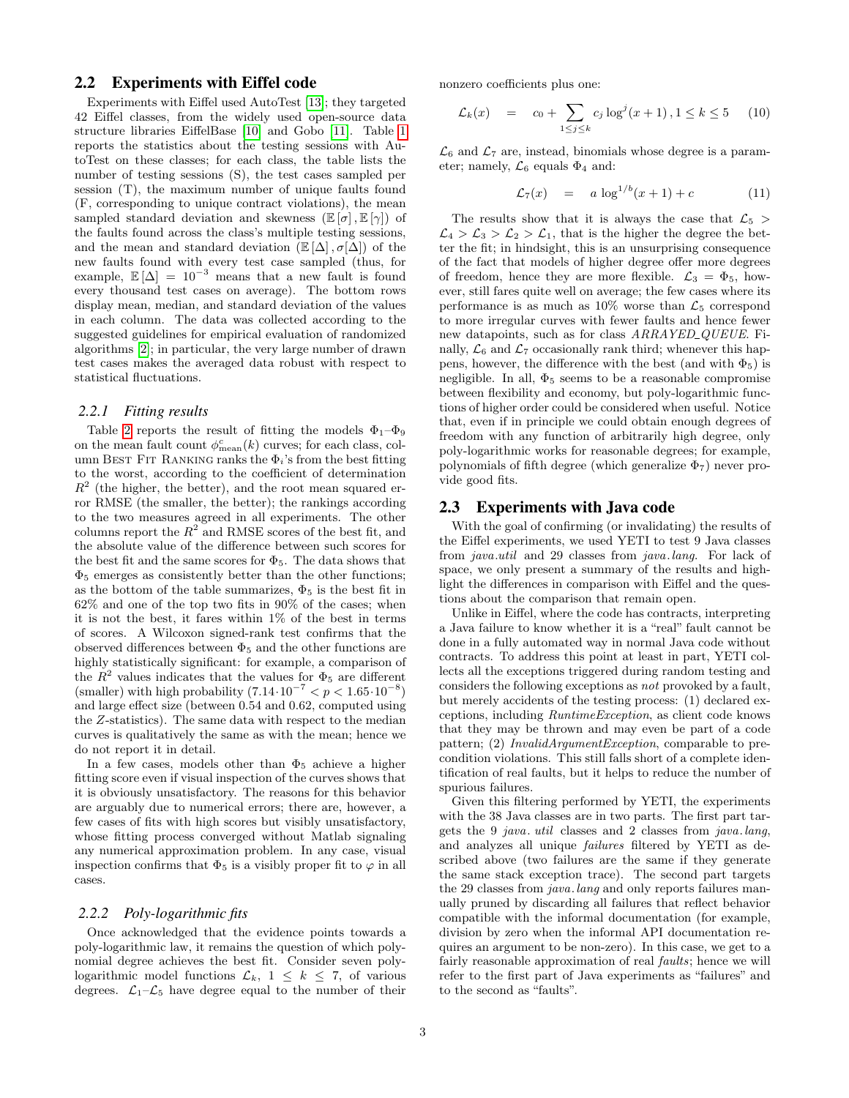# <span id="page-2-0"></span>2.2 Experiments with Eiffel code

Experiments with Eiffel used AutoTest [\[13\]](#page-5-5); they targeted 42 Eiffel classes, from the widely used open-source data structure libraries EiffelBase [\[10\]](#page-5-11) and Gobo [\[11\]](#page-5-12). Table [1](#page-3-0) reports the statistics about the testing sessions with AutoTest on these classes; for each class, the table lists the number of testing sessions (S), the test cases sampled per session (T), the maximum number of unique faults found (F, corresponding to unique contract violations), the mean sampled standard deviation and skewness  $(\mathbb{E}[\sigma], \mathbb{E}[\gamma])$  of the faults found across the class's multiple testing sessions, and the mean and standard deviation  $(\mathbb{E}[\Delta], \sigma[\Delta])$  of the new faults found with every test case sampled (thus, for example,  $\mathbb{E}[\Delta] = 10^{-3}$  means that a new fault is found every thousand test cases on average). The bottom rows display mean, median, and standard deviation of the values in each column. The data was collected according to the suggested guidelines for empirical evaluation of randomized algorithms [\[2\]](#page-5-13); in particular, the very large number of drawn test cases makes the averaged data robust with respect to statistical fluctuations.

#### *2.2.1 Fitting results*

Table [2](#page-4-1) reports the result of fitting the models  $\Phi_1-\Phi_9$ on the mean fault count  $\phi_{\text{mean}}^c(k)$  curves; for each class, column BEST FIT RANKING ranks the  $\Phi_i$ 's from the best fitting to the worst, according to the coefficient of determination  $R<sup>2</sup>$  (the higher, the better), and the root mean squared error RMSE (the smaller, the better); the rankings according to the two measures agreed in all experiments. The other columns report the  $R^2$  and RMSE scores of the best fit, and the absolute value of the difference between such scores for the best fit and the same scores for  $\Phi_5$ . The data shows that  $\Phi_5$  emerges as consistently better than the other functions; as the bottom of the table summarizes,  $\Phi_5$  is the best fit in 62% and one of the top two fits in 90% of the cases; when it is not the best, it fares within 1% of the best in terms of scores. A Wilcoxon signed-rank test confirms that the observed differences between  $\Phi_5$  and the other functions are highly statistically significant: for example, a comparison of the  $R^2$  values indicates that the values for  $\Phi_5$  are different (smaller) with high probability  $(7.14 \cdot 10^{-7} < p < 1.65 \cdot 10^{-8})$ and large effect size (between 0.54 and 0.62, computed using the Z-statistics). The same data with respect to the median curves is qualitatively the same as with the mean; hence we do not report it in detail.

In a few cases, models other than  $\Phi_5$  achieve a higher fitting score even if visual inspection of the curves shows that it is obviously unsatisfactory. The reasons for this behavior are arguably due to numerical errors; there are, however, a few cases of fits with high scores but visibly unsatisfactory, whose fitting process converged without Matlab signaling any numerical approximation problem. In any case, visual inspection confirms that  $\Phi_5$  is a visibly proper fit to  $\varphi$  in all cases.

#### *2.2.2 Poly-logarithmic fits*

Once acknowledged that the evidence points towards a poly-logarithmic law, it remains the question of which polynomial degree achieves the best fit. Consider seven polylogarithmic model functions  $\mathcal{L}_k$ ,  $1 \leq k \leq 7$ , of various degrees.  $\mathcal{L}_1-\mathcal{L}_5$  have degree equal to the number of their nonzero coefficients plus one:

$$
\mathcal{L}_k(x) = c_0 + \sum_{1 \le j \le k} c_j \log^j(x+1), 1 \le k \le 5 \quad (10)
$$

 $\mathcal{L}_6$  and  $\mathcal{L}_7$  are, instead, binomials whose degree is a parameter; namely,  $\mathcal{L}_6$  equals  $\Phi_4$  and:

$$
\mathcal{L}_7(x) = a \log^{1/b}(x+1) + c \tag{11}
$$

The results show that it is always the case that  $\mathcal{L}_5$  $\mathcal{L}_4 > \mathcal{L}_3 > \mathcal{L}_2 > \mathcal{L}_1$ , that is the higher the degree the better the fit; in hindsight, this is an unsurprising consequence of the fact that models of higher degree offer more degrees of freedom, hence they are more flexible.  $\mathcal{L}_3 = \Phi_5$ , however, still fares quite well on average; the few cases where its performance is as much as  $10\%$  worse than  $\mathcal{L}_5$  correspond to more irregular curves with fewer faults and hence fewer new datapoints, such as for class  $ARRAYED\_QUEUE$ . Finally,  $\mathcal{L}_6$  and  $\mathcal{L}_7$  occasionally rank third; whenever this happens, however, the difference with the best (and with  $\Phi_5$ ) is negligible. In all,  $\Phi_5$  seems to be a reasonable compromise between flexibility and economy, but poly-logarithmic functions of higher order could be considered when useful. Notice that, even if in principle we could obtain enough degrees of freedom with any function of arbitrarily high degree, only poly-logarithmic works for reasonable degrees; for example, polynomials of fifth degree (which generalize  $\Phi_7$ ) never provide good fits.

## <span id="page-2-1"></span>2.3 Experiments with Java code

With the goal of confirming (or invalidating) the results of the Eiffel experiments, we used YETI to test 9 Java classes from java.util and 29 classes from java.lang. For lack of space, we only present a summary of the results and highlight the differences in comparison with Eiffel and the questions about the comparison that remain open.

Unlike in Eiffel, where the code has contracts, interpreting a Java failure to know whether it is a "real" fault cannot be done in a fully automated way in normal Java code without contracts. To address this point at least in part, YETI collects all the exceptions triggered during random testing and considers the following exceptions as not provoked by a fault, but merely accidents of the testing process: (1) declared exceptions, including RuntimeException, as client code knows that they may be thrown and may even be part of a code pattern; (2) InvalidArgumentException, comparable to precondition violations. This still falls short of a complete identification of real faults, but it helps to reduce the number of spurious failures.

Given this filtering performed by YETI, the experiments with the 38 Java classes are in two parts. The first part targets the 9 java. util classes and 2 classes from java.lang, and analyzes all unique failures filtered by YETI as described above (two failures are the same if they generate the same stack exception trace). The second part targets the 29 classes from *java*. *lang* and only reports failures manually pruned by discarding all failures that reflect behavior compatible with the informal documentation (for example, division by zero when the informal API documentation requires an argument to be non-zero). In this case, we get to a fairly reasonable approximation of real faults; hence we will refer to the first part of Java experiments as "failures" and to the second as "faults".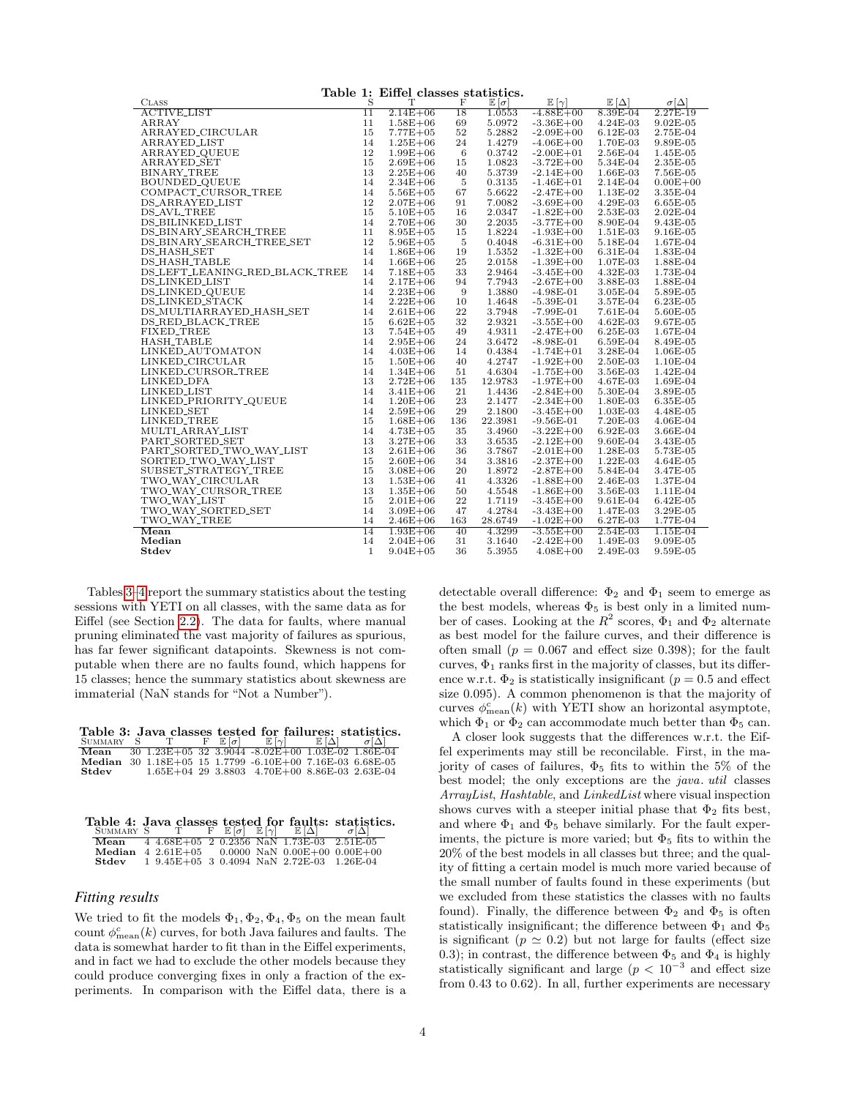<span id="page-3-0"></span>

| Table 1: Eiffel classes statistics.             |              |              |     |                      |                      |             |                  |  |
|-------------------------------------------------|--------------|--------------|-----|----------------------|----------------------|-------------|------------------|--|
| <b>CLASS</b>                                    | S            | т            | F   | $\mathbb{E}[\sigma]$ | $\mathbb{E}[\gamma]$ | $E[\Delta]$ | $\sigma[\Delta]$ |  |
| <b>ACTIVE_LIST</b>                              | 11           | $2.14E + 06$ | 18  | 1.0553               | $-4.88E + 00$        | $8.39E-04$  | 2.27E-19         |  |
| ARRAY                                           | 11           | $1.58E + 06$ | 69  | 5.0972               | $-3.36E + 00$        | $4.24E-03$  | $9.02E-05$       |  |
| ARRAYED_CIRCULAR                                | 15           | $7.77E + 05$ | 52  | 5.2882               | $-2.09E + 00$        | $6.12E-03$  | 2.75E-04         |  |
| <b>ARRAYED_LIST</b>                             | 14           | $1.25E + 06$ | 24  | 1.4279               | $-4.06E + 00$        | 1.70E-03    | 9.89E-05         |  |
| ARRAYED_QUEUE                                   | 12           | $1.99E + 06$ | 6   | 0.3742               | $-2.00E + 01$        | 2.56E-04    | 1.45E-05         |  |
| <b>ARRAYED_SET</b>                              | 15           | $2.69E + 06$ | 15  | 1.0823               | $-3.72E + 00$        | 5.34E-04    | $2.35E-05$       |  |
| <b>BINARY_TREE</b>                              | 13           | $2.25E + 06$ | 40  | 5.3739               | $-2.14E + 00$        | 1.66E-03    | 7.56E-05         |  |
| BOUNDED_QUEUE                                   | 14           | $2.34E + 06$ | 5   | 0.3135               | $-1.46E + 01$        | 2.14E-04    | $0.00E + 00$     |  |
| COMPACT_CURSOR_TREE                             | 14           | $5.56E + 05$ | 67  | 5.6622               | $-2.47E + 00$        | 1.13E-02    | 3.35E-04         |  |
| <b>DS_ARRAYED_LIST</b>                          | 12           | $2.07E + 06$ | 91  | 7.0082               | $-3.69E + 00$        | 4.29E-03    | 6.65E-05         |  |
| <b>DS_AVL_TREE</b>                              | 15           | $5.10E + 05$ | 16  | 2.0347               | $-1.82E + 00$        | 2.53E-03    | $2.02E-04$       |  |
| DS_BILINKED_LIST                                | 14           | $2.70E + 06$ | 30  | 2.2035               | $-3.77E + 00$        | 8.90E-04    | 9.43E-05         |  |
| DS_BINARY_SEARCH_TREE                           | 11           | $8.95E + 05$ | 15  | 1.8224               | $-1.93E + 00$        | 1.51E-03    | 9.16E-05         |  |
| DS_BINARY_SEARCH_TREE_SET                       | 12           | $5.96E + 05$ | 5   | 0.4048               | $-6.31E + 00$        | 5.18E-04    | 1.67E-04         |  |
| DS_HASH_SET                                     | 14           | $1.86E + 06$ | 19  | 1.5352               | $-1.32E + 00$        | 6.31E-04    | 1.83E-04         |  |
| DS_HASH_TABLE                                   | 14           | $1.66E + 06$ | 25  | 2.0158               | $-1.39E + 00$        | $1.07E-03$  | 1.88E-04         |  |
| DS_LEFT_LEANING_RED_BLACK_TREE                  | 14           | $7.18E + 05$ | 33  | 2.9464               | $-3.45E + 00$        | 4.32E-03    | 1.73E-04         |  |
| <b>DS_LINKED_LIST</b>                           | 14           | $2.17E + 06$ | 94  | 7.7943               | $-2.67E + 00$        | 3.88E-03    | 1.88E-04         |  |
| <b>DS_LINKED_QUEUE</b>                          | 14           | $2.23E + 06$ | 9   | 1.3880               | $-4.98E-01$          | $3.05E-04$  | 5.89E-05         |  |
| DS_LINKED_STACK                                 | 14           | $2.22E + 06$ | 10  | 1.4648               | $-5.39E-01$          | 3.57E-04    | 6.23E-05         |  |
| DS_MULTIARRAYED_HASH_SET                        | 14           | $2.61E + 06$ | 22  | 3.7948               | $-7.99E-01$          | $7.61E-04$  | 5.60E-05         |  |
| DS_RED_BLACK_TREE                               | 15           | $6.62E + 05$ | 32  | 2.9321               | $-3.55E + 00$        | $4.62E-03$  | 9.67E-05         |  |
| FIXED_TREE                                      | 13           | $7.54E + 05$ | 49  | 4.9311               | $-2.47E + 00$        | 6.25E-03    | 1.67E-04         |  |
| <b>HASH_TABLE</b>                               | 14           | $2.95E + 06$ | 24  | 3.6472               | $-8.98E-01$          | $6.59E-04$  | 8.49E-05         |  |
| LINKED_AUTOMATON                                | 14           | $4.03E + 06$ | 14  | 0.4384               | $-1.74E + 01$        | 3.28E-04    | 1.06E-05         |  |
| LINKED_CIRCULAR                                 | 15           | $1.50E + 06$ | 40  | 4.2747               | $-1.92E + 00$        | 2.50E-03    | 1.10E-04         |  |
|                                                 | 14           | $1.34E + 06$ | 51  | 4.6304               | $-1.75E + 00$        | 3.56E-03    | 1.42E-04         |  |
| LINKED_CURSOR_TREE<br>LINKED_DFA<br>LINKED_LIST | 13           | $2.72E + 06$ | 135 | 12.9783              | $-1.97E + 00$        | 4.67E-03    | 1.69E-04         |  |
| LINKED_LIST                                     | 14           | $3.41E + 06$ | 21  | 1.4436               | $-2.84E + 00$        | 5.30E-04    | 3.89E-05         |  |
| LINKED_PRIORITY_QUEUE                           | 14           | $1.20E + 06$ | 23  | 2.1477               | $-2.34E + 00$        | 1.80E-03    | 6.35E-05         |  |
| LINKED_SET                                      | 14           | $2.59E + 06$ | 29  | 2.1800               | $-3.45E + 00$        | $1.03E-03$  | 4.48E-05         |  |
| LINKED_TREE                                     | 15           | $1.68E + 06$ | 136 | 22.3981              | $-9.56E-01$          | 7.20E-03    | 4.06E-04         |  |
| MULTLARRAY_LIST                                 | 14           | $4.73E + 05$ | 35  | 3.4960               | $-3.22E + 00$        | 6.92E-03    | 3.66E-04         |  |
| PART_SORTED_SET                                 | 13           | $3.27E + 06$ | 33  | 3.6535               | $-2.12E + 00$        | $9.60E-04$  | 3.43E-05         |  |
| PART_SORTED_TWO_WAY_LIST                        | 13           | $2.61E + 06$ | 36  | 3.7867               | $-2.01E + 00$        | 1.28E-03    | 5.73E-05         |  |
| SORTED_TWO_WAY_LIST                             | 15           | $2.60E + 06$ | 34  | 3.3816               | $-2.37E + 00$        | 1.22E-03    | 4.64E-05         |  |
| SUBSET_STRATEGY_TREE                            | 15           | $3.08E + 06$ | 20  | 1.8972               | $-2.87E + 00$        | 5.84E-04    | 3.47E-05         |  |
| TWO_WAY_CIRCULAR                                | 13           | $1.53E + 06$ | 41  | 4.3326               | $-1.88E + 00$        | 2.46E-03    | 1.37E-04         |  |
| TWO_WAY_CURSOR_TREE                             | 13           | $1.35E + 06$ | 50  | 4.5548               | $-1.86E + 00$        | 3.56E-03    | 1.11E-04         |  |
| TWO_WAY_LIST                                    | 15           | $2.01E + 06$ | 22  | 1.7119               | $-3.45E + 00$        | $9.61E-04$  | 6.42E-05         |  |
| TWO_WAY_SORTED_SET                              | 14           | $3.09E + 06$ | 47  | 4.2784               | $-3.43E + 00$        | 1.47E-03    | 3.29E-05         |  |
| TWO_WAY_TREE                                    | 14           | $2.46E + 06$ | 163 | 28.6749              | $-1.02E + 00$        | 6.27E-03    | 1.77E-04         |  |
| Mean                                            | 14           | $1.93E + 06$ | 40  | 4.3299               | $-3.55E + 00$        | $2.54E-03$  | $1.15E-04$       |  |
| Median                                          | 14           | $2.04E + 06$ | 31  | 3.1640               | $-2.42E + 00$        | 1.49E-03    | 9.09E-05         |  |
| Stdev                                           | $\mathbf{1}$ | $9.04E + 05$ | 36  | 5.3955               | $4.08E + 00$         | 2.49E-03    | 9.59E-05         |  |

Tables [3](#page-3-1)[–4](#page-3-2) report the summary statistics about the testing sessions with YETI on all classes, with the same data as for Eiffel (see Section [2.2\)](#page-2-0). The data for faults, where manual pruning eliminated the vast majority of failures as spurious, has far fewer significant datapoints. Skewness is not computable when there are no faults found, which happens for 15 classes; hence the summary statistics about skewness are immaterial (NaN stands for "Not a Number").

<span id="page-3-1"></span>

|       |             |  | Table 3: Java classes tested for failures: statistics.   |                      |                   |
|-------|-------------|--|----------------------------------------------------------|----------------------|-------------------|
|       | SUMMARY S T |  | $F \mathbb{E}[\sigma]$ $\mathbb{E}[\gamma]$              | $\mathbb{E}[\Delta]$ | $\sigma  \Delta $ |
|       |             |  | Mean $30$ 1.23E+05 32 3.9044 -8.02E+00 1.03E-02 1.86E-04 |                      |                   |
|       |             |  | Median 30 1.18E+05 15 1.7799 -6.10E+00 7.16E-03 6.68E-05 |                      |                   |
| Stdev |             |  | $1.65E+04$ 29 3.8803 4.70E+00 8.86E-03 2.63E-04          |                      |                   |

<span id="page-3-2"></span>

|  |                                                                              |  |  | Table 4: Java classes tested for faults: statistics. |
|--|------------------------------------------------------------------------------|--|--|------------------------------------------------------|
|  | SUMMARY S T F $\mathbb{E}[\sigma]$ $\mathbb{E}[\gamma]$ $\mathbb{E}[\Delta]$ |  |  |                                                      |
|  | Mean $44.68E+05$ 2 0.2356 NaN 1.73E-03 2.51E-05                              |  |  |                                                      |
|  | Median $4\ 2.61E+05$ 0.0000 NaN 0.00E+00 0.00E+00                            |  |  |                                                      |
|  | <b>Stdev</b> 1 9.45E+05 3 0.4094 NaN 2.72E-03 1.26E-04                       |  |  |                                                      |

## *Fitting results*

We tried to fit the models  $\Phi_1, \Phi_2, \Phi_4, \Phi_5$  on the mean fault count  $\phi_{\text{mean}}^c(k)$  curves, for both Java failures and faults. The data is somewhat harder to fit than in the Eiffel experiments, and in fact we had to exclude the other models because they could produce converging fixes in only a fraction of the experiments. In comparison with the Eiffel data, there is a detectable overall difference:  $\Phi_2$  and  $\Phi_1$  seem to emerge as the best models, whereas  $\Phi_5$  is best only in a limited number of cases. Looking at the  $R^2$  scores,  $\Phi_1$  and  $\Phi_2$  alternate as best model for the failure curves, and their difference is often small ( $p = 0.067$  and effect size 0.398); for the fault curves,  $\Phi_1$  ranks first in the majority of classes, but its difference w.r.t.  $\Phi_2$  is statistically insignificant ( $p = 0.5$  and effect size 0.095). A common phenomenon is that the majority of curves  $\phi_{\text{mean}}^c(k)$  with YETI show an horizontal asymptote, which  $\Phi_1$  or  $\Phi_2$  can accommodate much better than  $\Phi_5$  can.

A closer look suggests that the differences w.r.t. the Eiffel experiments may still be reconcilable. First, in the majority of cases of failures,  $\Phi_5$  fits to within the 5% of the best model; the only exceptions are the java. util classes ArrayList, Hashtable, and LinkedList where visual inspection shows curves with a steeper initial phase that  $\Phi_2$  fits best, and where  $\Phi_1$  and  $\Phi_5$  behave similarly. For the fault experiments, the picture is more varied; but  $\Phi_5$  fits to within the 20% of the best models in all classes but three; and the quality of fitting a certain model is much more varied because of the small number of faults found in these experiments (but we excluded from these statistics the classes with no faults found). Finally, the difference between  $\Phi_2$  and  $\Phi_5$  is often statistically insignificant; the difference between  $\Phi_1$  and  $\Phi_5$ is significant ( $p \approx 0.2$ ) but not large for faults (effect size 0.3); in contrast, the difference between  $\Phi_5$  and  $\Phi_4$  is highly statistically significant and large  $(p < 10^{-3}$  and effect size from 0.43 to 0.62). In all, further experiments are necessary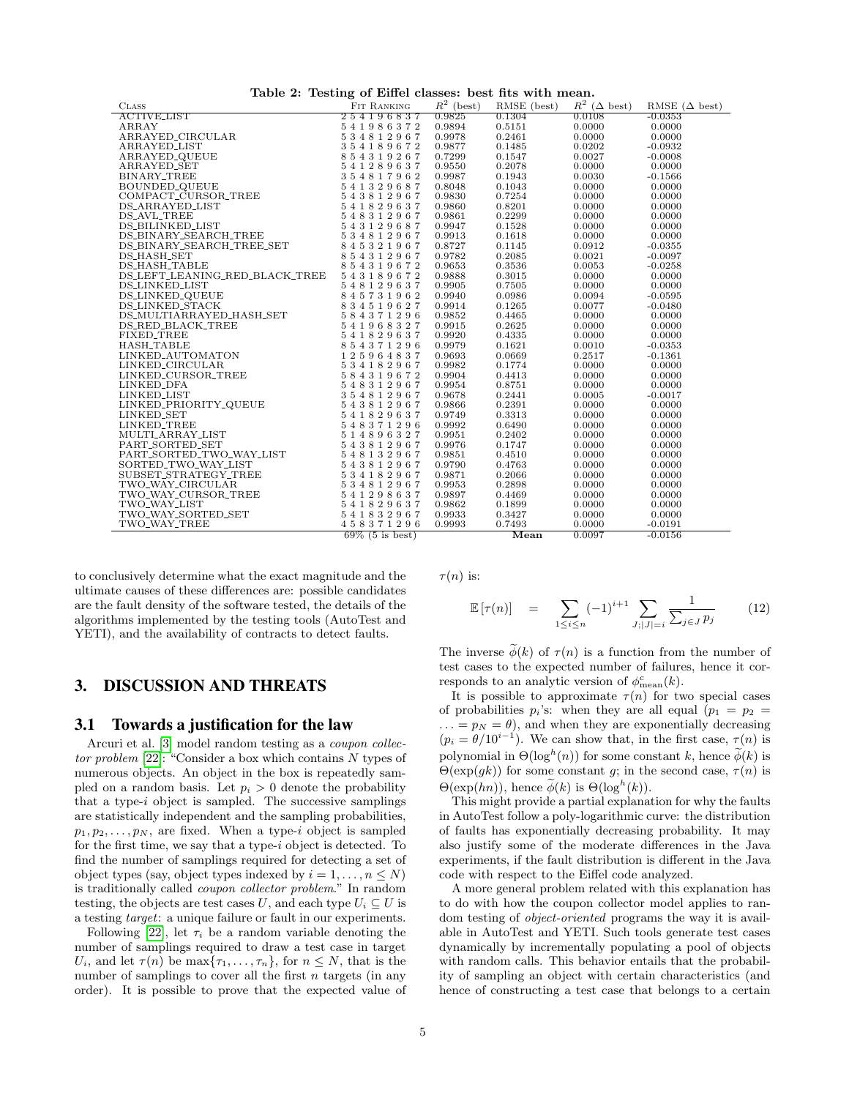<span id="page-4-1"></span>

|  | Table 2: Testing of Eiffel classes: best fits with mean. |  |  |  |  |  |  |  |
|--|----------------------------------------------------------|--|--|--|--|--|--|--|
|--|----------------------------------------------------------|--|--|--|--|--|--|--|

|                                                                                                                                                                                                                                                                                                                                                                                                                                                     | rable 2. results of Effect classes. best fits with incum. |                  |                  |                       |                              |
|-----------------------------------------------------------------------------------------------------------------------------------------------------------------------------------------------------------------------------------------------------------------------------------------------------------------------------------------------------------------------------------------------------------------------------------------------------|-----------------------------------------------------------|------------------|------------------|-----------------------|------------------------------|
| $\begin{tabular}{l c c c} \multicolumn{1}{c}{\textbf{CLASS}} & \multicolumn{1}{c}{\textbf{FIT RANKING}} \\ \hline \multicolumn{1}{c}{\textbf{ACTIVELIST}} & \multicolumn{1}{c}{\textbf{FIT RANKING}} \\ \hline \multicolumn{1}{c}{\textbf{ACTIVELIST}} & 254196837 \\ \multicolumn{1}{c}{\textbf{ARRAYED\_CIRCULAR}} & 544812967 \\ \multicolumn{1}{c}{\textbf{ARRAYED\_GUEUE}} & 354189672 \\ \multicolumn{1}{c}{\textbf{ARAYED\_GUEUE}} & 354189$ |                                                           | $R^2$ (best)     | RMSE (best)      | $R^2$ $(\Delta$ best) | RMSE $(\Delta \text{ best})$ |
|                                                                                                                                                                                                                                                                                                                                                                                                                                                     |                                                           | 0.9825           | 0.1304           | 0.0108                | $-0.0353$                    |
|                                                                                                                                                                                                                                                                                                                                                                                                                                                     |                                                           | 0.9894           | 0.5151           | 0.0000                | 0.0000                       |
|                                                                                                                                                                                                                                                                                                                                                                                                                                                     |                                                           | 0.9978           | 0.2461           | 0.0000                | 0.0000                       |
|                                                                                                                                                                                                                                                                                                                                                                                                                                                     |                                                           | 0.9877           | 0.1485           | 0.0202                | $-0.0932$                    |
|                                                                                                                                                                                                                                                                                                                                                                                                                                                     |                                                           | 0.7299           | 0.1547           | 0.0027                | $-0.0008$                    |
|                                                                                                                                                                                                                                                                                                                                                                                                                                                     |                                                           | 0.9550           | 0.2078           | 0.0000                | 0.0000                       |
|                                                                                                                                                                                                                                                                                                                                                                                                                                                     |                                                           | 0.9987           | 0.1943           | 0.0030                | $-0.1566$                    |
|                                                                                                                                                                                                                                                                                                                                                                                                                                                     |                                                           | 0.8048           | 0.1043           | 0.0000                | 0.0000                       |
|                                                                                                                                                                                                                                                                                                                                                                                                                                                     |                                                           | 0.9830           | 0.7254           | 0.0000                | 0.0000                       |
|                                                                                                                                                                                                                                                                                                                                                                                                                                                     |                                                           | 0.9860           | 0.8201           | 0.0000                | 0.0000                       |
|                                                                                                                                                                                                                                                                                                                                                                                                                                                     |                                                           | 0.9861           | 0.2299           | 0.0000                | 0.0000                       |
|                                                                                                                                                                                                                                                                                                                                                                                                                                                     |                                                           | 0.9947           | 0.1528           | 0.0000                | 0.0000                       |
|                                                                                                                                                                                                                                                                                                                                                                                                                                                     |                                                           | 0.9913           | 0.1618           | 0.0000                | 0.0000                       |
|                                                                                                                                                                                                                                                                                                                                                                                                                                                     |                                                           | 0.8727           | 0.1145           | 0.0912                | $-0.0355$                    |
|                                                                                                                                                                                                                                                                                                                                                                                                                                                     |                                                           | 0.9782           | 0.2085           | 0.0021                | $-0.0097$                    |
|                                                                                                                                                                                                                                                                                                                                                                                                                                                     |                                                           | 0.9653           | 0.3536           | 0.0053                | $-0.0258$                    |
| DS_LEFT_LEANING_RED_BLACK_TREE 543189672                                                                                                                                                                                                                                                                                                                                                                                                            |                                                           | 0.9888           | 0.3015           | 0.0000                | 0.0000                       |
| <b>DS_LINKED_LIST</b>                                                                                                                                                                                                                                                                                                                                                                                                                               | 548129637                                                 | 0.9905           | 0.7505           | 0.0000                | 0.0000                       |
| DS_LINKED_QUEUE                                                                                                                                                                                                                                                                                                                                                                                                                                     | 845731962                                                 | 0.9940           | 0.0986           | 0.0094                | $-0.0595$                    |
| DS_LINKED_STACK                                                                                                                                                                                                                                                                                                                                                                                                                                     | 834519627                                                 | 0.9914           | 0.1265           | 0.0077                | $-0.0480$                    |
|                                                                                                                                                                                                                                                                                                                                                                                                                                                     |                                                           | 0.9852           | 0.4465           | 0.0000                | 0.0000                       |
|                                                                                                                                                                                                                                                                                                                                                                                                                                                     |                                                           | 0.9915           | 0.2625           | 0.0000                | 0.0000                       |
|                                                                                                                                                                                                                                                                                                                                                                                                                                                     |                                                           | 0.9920           | 0.4335           | 0.0000                | 0.0000                       |
|                                                                                                                                                                                                                                                                                                                                                                                                                                                     |                                                           | 0.9979           | 0.1621           | 0.0010                | $-0.0353$                    |
|                                                                                                                                                                                                                                                                                                                                                                                                                                                     |                                                           | 0.9693           | 0.0669           | 0.2517                | $-0.1361$                    |
|                                                                                                                                                                                                                                                                                                                                                                                                                                                     |                                                           | 0.9982           | 0.1774           | 0.0000                | 0.0000                       |
|                                                                                                                                                                                                                                                                                                                                                                                                                                                     |                                                           | 0.9904           | 0.4413           | 0.0000                | 0.0000                       |
|                                                                                                                                                                                                                                                                                                                                                                                                                                                     |                                                           | 0.9954           | 0.8751           | 0.0000                | 0.0000                       |
|                                                                                                                                                                                                                                                                                                                                                                                                                                                     |                                                           | 0.9678           | 0.2441           | 0.0005                | $-0.0017$                    |
|                                                                                                                                                                                                                                                                                                                                                                                                                                                     |                                                           | 0.9866           | 0.2391           | 0.0000                | 0.0000                       |
|                                                                                                                                                                                                                                                                                                                                                                                                                                                     |                                                           | 0.9749           | 0.3313           | 0.0000                | 0.0000                       |
|                                                                                                                                                                                                                                                                                                                                                                                                                                                     |                                                           | 0.9992           | 0.6490           | 0.0000                | 0.0000                       |
|                                                                                                                                                                                                                                                                                                                                                                                                                                                     |                                                           |                  |                  |                       |                              |
|                                                                                                                                                                                                                                                                                                                                                                                                                                                     |                                                           | 0.9951<br>0.9976 | 0.2402<br>0.1747 | 0.0000<br>0.0000      | 0.0000<br>0.0000             |
|                                                                                                                                                                                                                                                                                                                                                                                                                                                     |                                                           |                  |                  |                       |                              |
|                                                                                                                                                                                                                                                                                                                                                                                                                                                     |                                                           | 0.9851           | 0.4510           | 0.0000                | 0.0000                       |
|                                                                                                                                                                                                                                                                                                                                                                                                                                                     |                                                           | 0.9790           | 0.4763           | 0.0000                | 0.0000                       |
|                                                                                                                                                                                                                                                                                                                                                                                                                                                     |                                                           | 0.9871           | 0.2066           | 0.0000                | 0.0000                       |
|                                                                                                                                                                                                                                                                                                                                                                                                                                                     |                                                           | 0.9953           | 0.2898           | 0.0000                | 0.0000                       |
|                                                                                                                                                                                                                                                                                                                                                                                                                                                     |                                                           | 0.9897           | 0.4469           | 0.0000                | 0.0000                       |
|                                                                                                                                                                                                                                                                                                                                                                                                                                                     |                                                           | 0.9862           | 0.1899           | 0.0000                | 0.0000                       |
| $\begin{tabular}{l c c c} \multicolumn{1}{c}{\textbf{I-IV}}{\textbf{O}}{\textbf{NRT}}{\textbf{SORTED\_TWO\_WAY\_LIST}} & \begin{array}{r@{}} 5&4&3&8&1&2&9&6&7\\ 2&8&8&1&3&2&9&6&7&8&8&1&3&2&9&6&7\\ 2&5&4&8&1&2&9&6&7&8&1&8&1&2&9&6&7\\ \hline \text{SUBSET\_STRATEGY\_TREE} && 5&3&4&1&8&2&9&6&7\\ \text{TWO\_WAY\_CURSOR\_TREE} && 5&3&$                                                                                                         |                                                           | 0.9933           | 0.3427           | 0.0000                | 0.0000                       |
| TWO_WAY_TREE                                                                                                                                                                                                                                                                                                                                                                                                                                        | 458371296                                                 | 0.9993           | 0.7493           | 0.0000                | $-0.0191$                    |
|                                                                                                                                                                                                                                                                                                                                                                                                                                                     | $69\%$ (5 is best)                                        |                  | Mean             | 0.0097                | $-0.0156$                    |

to conclusively determine what the exact magnitude and the ultimate causes of these differences are: possible candidates are the fault density of the software tested, the details of the algorithms implemented by the testing tools (AutoTest and YETI), and the availability of contracts to detect faults.

# 3. DISCUSSION AND THREATS

## <span id="page-4-0"></span>3.1 Towards a justification for the law

Arcuri et al. [\[3\]](#page-5-14) model random testing as a coupon collector problem [\[22\]](#page-5-15): "Consider a box which contains N types of numerous objects. An object in the box is repeatedly sampled on a random basis. Let  $p_i > 0$  denote the probability that a type- $i$  object is sampled. The successive samplings are statistically independent and the sampling probabilities,  $p_1, p_2, \ldots, p_N$ , are fixed. When a type-i object is sampled for the first time, we say that a type-i object is detected. To find the number of samplings required for detecting a set of object types (say, object types indexed by  $i = 1, \ldots, n \leq N$ ) is traditionally called coupon collector problem." In random testing, the objects are test cases U, and each type  $U_i \subseteq U$  is a testing target: a unique failure or fault in our experiments.

Following [\[22\]](#page-5-15), let  $\tau_i$  be a random variable denoting the number of samplings required to draw a test case in target  $U_i$ , and let  $\tau(n)$  be  $\max{\lbrace \tau_1,\ldots,\tau_n \rbrace}$ , for  $n \leq N$ , that is the number of samplings to cover all the first  $n$  targets (in any order). It is possible to prove that the expected value of  $\tau(n)$  is:

$$
\mathbb{E}[\tau(n)] = \sum_{1 \leq i \leq n} (-1)^{i+1} \sum_{J; |J| = i} \frac{1}{\sum_{j \in J} p_j} \tag{12}
$$

The inverse  $\phi(k)$  of  $\tau(n)$  is a function from the number of test cases to the expected number of failures, hence it corresponds to an analytic version of  $\phi_{\text{mean}}^c(k)$ .

It is possible to approximate  $\tau(n)$  for two special cases of probabilities  $p_i$ 's: when they are all equal  $(p_1 = p_2 =$  $\ldots = p_N = \theta$ , and when they are exponentially decreasing  $(p_i = \theta/10^{i-1})$ . We can show that, in the first case,  $\tau(n)$  is polynomial in  $\Theta(\log^h(n))$  for some constant k, hence  $\widetilde{\phi}(k)$  is  $\Theta(\exp(gk))$  for some constant g; in the second case,  $\tau(n)$  is  $\Theta(\exp(hn)),$  hence  $\widetilde{\phi}(k)$  is  $\Theta(\log^h(k)).$ 

This might provide a partial explanation for why the faults in AutoTest follow a poly-logarithmic curve: the distribution of faults has exponentially decreasing probability. It may also justify some of the moderate differences in the Java experiments, if the fault distribution is different in the Java code with respect to the Eiffel code analyzed.

A more general problem related with this explanation has to do with how the coupon collector model applies to random testing of object-oriented programs the way it is available in AutoTest and YETI. Such tools generate test cases dynamically by incrementally populating a pool of objects with random calls. This behavior entails that the probability of sampling an object with certain characteristics (and hence of constructing a test case that belongs to a certain